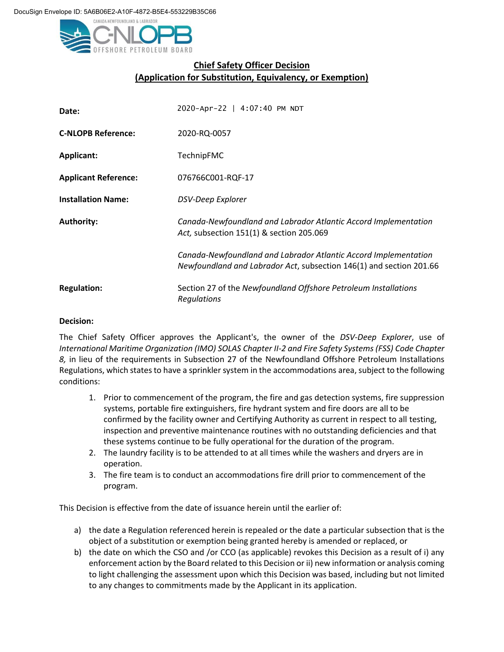

## **Chief Safety Officer Decision (Application for Substitution, Equivalency, or Exemption)**

| Date:                       | 2020-Apr-22   4:07:40 PM NDT                                                                                                           |
|-----------------------------|----------------------------------------------------------------------------------------------------------------------------------------|
| <b>C-NLOPB Reference:</b>   | 2020-RQ-0057                                                                                                                           |
| <b>Applicant:</b>           | <b>TechnipFMC</b>                                                                                                                      |
| <b>Applicant Reference:</b> | 076766C001-RQF-17                                                                                                                      |
| <b>Installation Name:</b>   | <b>DSV-Deep Explorer</b>                                                                                                               |
| <b>Authority:</b>           | Canada-Newfoundland and Labrador Atlantic Accord Implementation<br>Act, subsection 151(1) & section 205.069                            |
|                             | Canada-Newfoundland and Labrador Atlantic Accord Implementation<br>Newfoundland and Labrador Act, subsection 146(1) and section 201.66 |
| <b>Regulation:</b>          | Section 27 of the Newfoundland Offshore Petroleum Installations<br>Regulations                                                         |

## **Decision:**

The Chief Safety Officer approves the Applicant's, the owner of the *DSV-Deep Explorer*, use of *International Maritime Organization (IMO) SOLAS Chapter II-2 and Fire Safety Systems (FSS) Code Chapter 8,* in lieu of the requirements in Subsection 27 of the Newfoundland Offshore Petroleum Installations Regulations, which states to have a sprinkler system in the accommodations area, subject to the following conditions:

- 1. Prior to commencement of the program, the fire and gas detection systems, fire suppression systems, portable fire extinguishers, fire hydrant system and fire doors are all to be confirmed by the facility owner and Certifying Authority as current in respect to all testing, inspection and preventive maintenance routines with no outstanding deficiencies and that these systems continue to be fully operational for the duration of the program.
- 2. The laundry facility is to be attended to at all times while the washers and dryers are in operation.
- 3. The fire team is to conduct an accommodations fire drill prior to commencement of the program.

This Decision is effective from the date of issuance herein until the earlier of:

- a) the date a Regulation referenced herein is repealed or the date a particular subsection that is the object of a substitution or exemption being granted hereby is amended or replaced, or
- b) the date on which the CSO and /or CCO (as applicable) revokes this Decision as a result of i) any enforcement action by the Board related to this Decision or ii) new information or analysis coming to light challenging the assessment upon which this Decision was based, including but not limited to any changes to commitments made by the Applicant in its application.